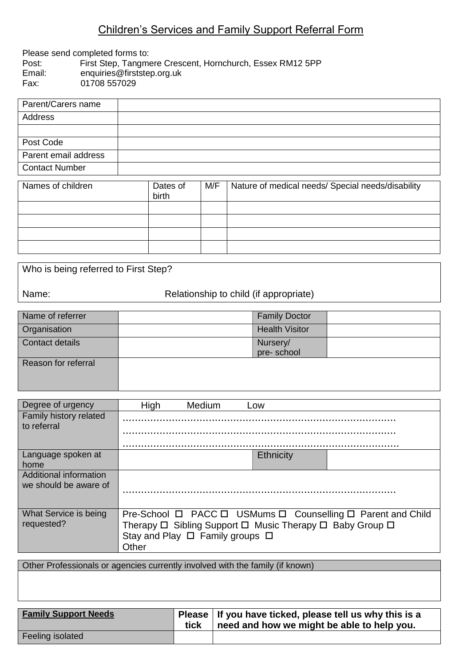## Children's Services and Family Support Referral Form

## Please send completed forms to: Post: First Step, Tangmere Crescent, Hornchurch, Essex RM12 5PP Email: enquiries@firststep.org.uk<br>Fax: 01708 557029 01708 557029

| Parent/Carers name    |                   |     |                                                   |
|-----------------------|-------------------|-----|---------------------------------------------------|
| Address               |                   |     |                                                   |
|                       |                   |     |                                                   |
| Post Code             |                   |     |                                                   |
| Parent email address  |                   |     |                                                   |
| <b>Contact Number</b> |                   |     |                                                   |
|                       |                   |     |                                                   |
| Names of children     | Dates of<br>birth | M/F | Nature of medical needs/ Special needs/disability |
|                       |                   |     |                                                   |
|                       |                   |     |                                                   |
|                       |                   |     |                                                   |

Who is being referred to First Step?

Name: Name: Relationship to child (if appropriate)

| Name of referrer       | <b>Family Doctor</b>  |  |
|------------------------|-----------------------|--|
| Organisation           | <b>Health Visitor</b> |  |
| <b>Contact details</b> | Nursery/              |  |
|                        | pre-school            |  |
| Reason for referral    |                       |  |
|                        |                       |  |

| Degree of urgency                     | High  | Medium                                    | Low       |                                                                              |
|---------------------------------------|-------|-------------------------------------------|-----------|------------------------------------------------------------------------------|
| Family history related<br>to referral |       |                                           |           |                                                                              |
|                                       |       |                                           |           |                                                                              |
|                                       |       |                                           |           |                                                                              |
| Language spoken at                    |       |                                           | Ethnicity |                                                                              |
| home                                  |       |                                           |           |                                                                              |
| Additional information                |       |                                           |           |                                                                              |
| we should be aware of                 |       |                                           |           |                                                                              |
|                                       |       |                                           |           |                                                                              |
|                                       |       |                                           |           |                                                                              |
| What Service is being                 |       |                                           |           | Pre-School □ PACC □ USMums □ Counselling □ Parent and Child                  |
| requested?                            |       |                                           |           | Therapy $\Box$ Sibling Support $\Box$ Music Therapy $\Box$ Baby Group $\Box$ |
|                                       |       |                                           |           |                                                                              |
|                                       |       | Stay and Play $\Box$ Family groups $\Box$ |           |                                                                              |
|                                       | Other |                                           |           |                                                                              |
|                                       |       |                                           |           |                                                                              |

Other Professionals or agencies currently involved with the family (if known)

| <b>Family Support Needs</b> | tick | Please   If you have ticked, please tell us why this is a<br>need and how we might be able to help you. |
|-----------------------------|------|---------------------------------------------------------------------------------------------------------|
| Feeling isolated            |      |                                                                                                         |